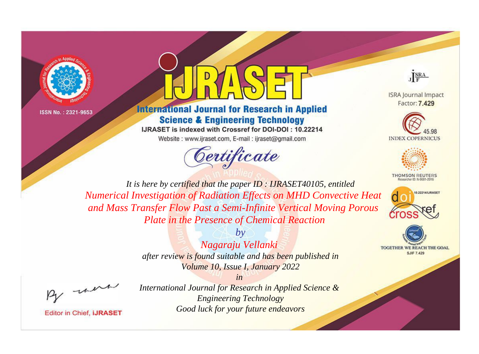

ISSN No.: 2321-9653



## **International Journal for Research in Applied Science & Engineering Technology**

IJRASET is indexed with Crossref for DOI-DOI: 10.22214 Website: www.ijraset.com, E-mail: ijraset@gmail.com



J SRA

**ISRA Journal Impact** Factor: 7,429





**THOMSON REUTERS** 



**TOGETHER WE REACH THE GOAL SJIF 7,429** 

*It is here by certified that the paper ID : IJRASET40105, entitled Numerical Investigation of Radiation Effects on MHD Convective Heat and Mass Transfer Flow Past a Semi-Infinite Vertical Moving Porous Plate in the Presence of Chemical Reaction*

> *Nagaraju Vellanki after review is found suitable and has been published in Volume 10, Issue I, January 2022*

*by*

*in* 

, un

**Editor in Chief, IJRASET** 

*International Journal for Research in Applied Science & Engineering Technology Good luck for your future endeavors*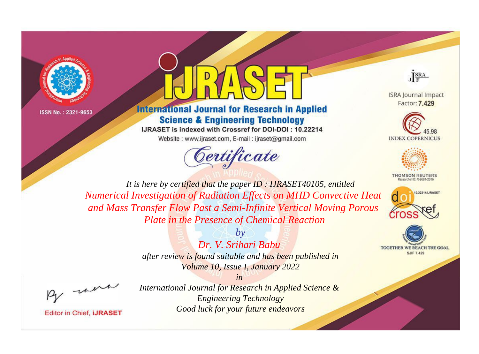

ISSN No.: 2321-9653



## **International Journal for Research in Applied Science & Engineering Technology**

IJRASET is indexed with Crossref for DOI-DOI: 10.22214 Website: www.ijraset.com, E-mail: ijraset@gmail.com



J SRA

**ISRA Journal Impact** Factor: 7,429





**THOMSON REUTERS** 



TOGETHER WE REACH THE GOAL **SJIF 7,429** 

*It is here by certified that the paper ID : IJRASET40105, entitled Numerical Investigation of Radiation Effects on MHD Convective Heat and Mass Transfer Flow Past a Semi-Infinite Vertical Moving Porous Plate in the Presence of Chemical Reaction*

*Dr. V. Srihari Babu* 

*by*

*after review is found suitable and has been published in Volume 10, Issue I, January 2022*

*in* 

, un

**Editor in Chief, IJRASET** 

*International Journal for Research in Applied Science & Engineering Technology Good luck for your future endeavors*